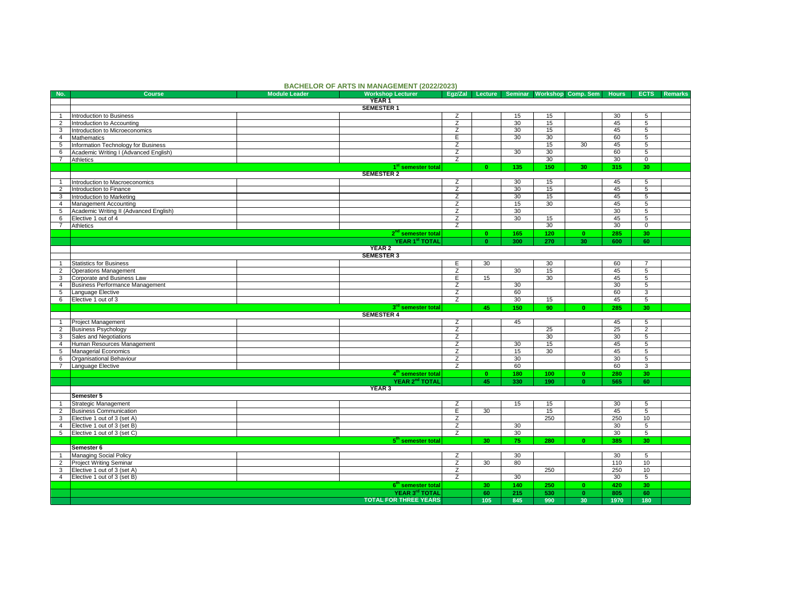|                 |                                        | <b>DAURELUR UF ARTS IN MANAGEMENT (ZUZZIZUZS)</b> |                |                 |                 |     |                            |                 |                 |         |
|-----------------|----------------------------------------|---------------------------------------------------|----------------|-----------------|-----------------|-----|----------------------------|-----------------|-----------------|---------|
| No.             | <b>Course</b><br><b>Module Leader</b>  | <b>Workshop Lecturer</b>                          | Eqz/Zal        | Lecture         |                 |     | Seminar Workshop Comp. Sem | <b>Hours</b>    | <b>ECTS</b>     | Remarks |
|                 | YEAR <sub>1</sub>                      |                                                   |                |                 |                 |     |                            |                 |                 |         |
|                 |                                        | <b>SEMESTER 1</b>                                 |                |                 |                 |     |                            |                 |                 |         |
| $\mathbf{1}$    | Introduction to Business               |                                                   | Z              |                 | 15              | 15  |                            | 30              | 5               |         |
| $\overline{2}$  | Introduction to Accounting             |                                                   | Z              |                 | 30              | 15  |                            | 45              | 5               |         |
| 3               | Introduction to Microeconomics         |                                                   | $\overline{z}$ |                 | $\overline{30}$ | 15  |                            | 45              | $\overline{5}$  |         |
| $\overline{4}$  | Mathematics                            |                                                   | Έ              |                 | 30              | 30  |                            | 60              | $\overline{5}$  |         |
| 5               | Information Technology for Business    |                                                   | Σ              |                 |                 | 15  | 30                         | 45              | 5               |         |
| 6               | Academic Writing I (Advanced English)  |                                                   | Z              |                 | 30              | 30  |                            | 60              | 5               |         |
| $7\overline{ }$ | Athletics                              |                                                   | $\overline{z}$ |                 |                 | 30  |                            | 30              | $\overline{0}$  |         |
|                 |                                        | 1 <sup>st</sup> semester total                    |                | $\mathbf{0}$    | 135             | 150 | 30                         | 315             | 30              |         |
|                 |                                        | <b>SEMESTER 2</b>                                 |                |                 |                 |     |                            |                 |                 |         |
|                 |                                        |                                                   |                |                 |                 |     |                            |                 |                 |         |
| $\overline{1}$  | Introduction to Macroeconomics         |                                                   | $\overline{z}$ |                 | 30              | 15  |                            | 45              | $\overline{5}$  |         |
| $\overline{2}$  | Introduction to Finance                |                                                   | $\overline{z}$ |                 | 30              | 15  |                            | 45              | 5               |         |
| 3               | Introduction to Marketing              |                                                   | $\overline{z}$ |                 | 30              | 15  |                            | 45              | $\overline{5}$  |         |
| $\overline{4}$  | Management Accounting                  |                                                   | Z              |                 | 15              | 30  |                            | 45              | 5               |         |
| 5               | Academic Writing II (Advanced English) |                                                   | $\overline{z}$ |                 | 30              |     |                            | $\overline{30}$ | $\overline{5}$  |         |
| 6               | Elective 1 out of 4                    |                                                   | $\overline{z}$ |                 | 30              | 15  |                            | 45              | 5               |         |
|                 | 7 Athletics                            |                                                   | $\overline{z}$ |                 |                 | 30  |                            | 30              | $\overline{0}$  |         |
|                 |                                        | 2 <sup>nd</sup> semester total                    |                | $\mathbf{0}$    | 165             | 120 | $\mathbf{0}$               | 285             | 30              |         |
|                 |                                        | YEAR 1st TOTAL                                    |                | $\mathbf{0}$    | 300             | 270 | 30                         | 600             | 60              |         |
|                 |                                        | <b>YEAR 2</b>                                     |                |                 |                 |     |                            |                 |                 |         |
|                 |                                        | <b>SEMESTER 3</b>                                 |                |                 |                 |     |                            |                 |                 |         |
|                 |                                        |                                                   |                |                 |                 |     |                            |                 |                 |         |
| $\mathbf{1}$    | Statistics for Business                |                                                   | Ε              | 30              |                 | 30  |                            | 60              | $\overline{7}$  |         |
| $\overline{2}$  | <b>Operations Management</b>           |                                                   | Z              |                 | 30              | 15  |                            | 45              | 5               |         |
| 3               | Corporate and Business Law             |                                                   | Е              | 15              |                 | 30  |                            | 45              | 5               |         |
| $\overline{4}$  | Business Performance Management        |                                                   | $\overline{z}$ |                 | 30              |     |                            | 30              | $5\overline{)}$ |         |
| 5               | Language Elective                      |                                                   | $\overline{z}$ |                 | 60              |     |                            | 60              | 3               |         |
| 6               | Elective 1 out of 3                    |                                                   | $\overline{z}$ |                 | 30              | 15  |                            | 45              | $\overline{5}$  |         |
|                 |                                        | 3 <sup>rd</sup> semester total                    |                | 45              | 150             | 90  | $\mathbf{0}$               | 285             | 30              |         |
|                 |                                        | <b>SEMESTER 4</b>                                 |                |                 |                 |     |                            |                 |                 |         |
| $\mathbf{1}$    | Project Management                     |                                                   | Ζ              |                 | 45              |     |                            | 45              | 5               |         |
| $\overline{2}$  | <b>Business Psychology</b>             |                                                   | Ζ              |                 |                 | 25  |                            | 25              | $\overline{2}$  |         |
| 3               | Sales and Negotiations                 |                                                   | $\overline{z}$ |                 |                 | 30  |                            | 30              | 5               |         |
| $\overline{4}$  | Human Resources Management             |                                                   | $\overline{z}$ |                 | 30              | 15  |                            | 45              | $\overline{5}$  |         |
| 5 <sup>5</sup>  | Managerial Economics                   |                                                   | $\overline{z}$ |                 | 15              | 30  |                            | 45              | $\overline{5}$  |         |
|                 | Organisational Behaviour               |                                                   | $\overline{z}$ |                 | 30              |     |                            | $\overline{30}$ | $\overline{5}$  |         |
| 6               |                                        |                                                   |                |                 |                 |     |                            |                 |                 |         |
| $\overline{7}$  | Language Elective                      |                                                   | Z              |                 | 60              |     |                            | 60              | $\overline{3}$  |         |
|                 |                                        | 4 <sup>th</sup> semester total                    |                | $\mathbf{0}$    | 180             | 100 | $\mathbf{0}$               | 280             | 30              |         |
|                 |                                        | YEAR 2 <sup>nd</sup> TOTAL                        |                | 45              | 330             | 190 | $\mathbf{0}$               | 565             | 60              |         |
|                 |                                        | YEAR <sub>3</sub>                                 |                |                 |                 |     |                            |                 |                 |         |
|                 | Semester 5                             |                                                   |                |                 |                 |     |                            |                 |                 |         |
| $\mathbf{1}$    | Strategic Management                   |                                                   | Z              |                 | 15              | 15  |                            | 30              | 5               |         |
| $\overline{2}$  | <b>Business Communication</b>          |                                                   | $\overline{E}$ | 30              |                 | 15  |                            | 45              | $\overline{5}$  |         |
| 3               | Elective 1 out of 3 (set A)            |                                                   | $\overline{z}$ |                 |                 | 250 |                            | 250             | 10              |         |
| $\overline{4}$  | Elective 1 out of 3 (set B)            |                                                   | Z              |                 | 30              |     |                            | 30              | 5               |         |
| 5 <sub>5</sub>  | Elective 1 out of 3 (set C)            |                                                   | Z              |                 | 30              |     |                            | 30              | 5               |         |
|                 |                                        | 5 <sup>th</sup> semester total                    |                | 30              | 75              | 280 | $\mathbf{0}$               | 385             | 30              |         |
|                 | Semester 6                             |                                                   |                |                 |                 |     |                            |                 |                 |         |
| $\overline{1}$  | Managing Social Policy                 |                                                   | Ζ              |                 | 30              |     |                            | 30              | 5               |         |
| $\overline{2}$  | <b>Project Writing Seminar</b>         |                                                   | $\overline{z}$ | 30              | 80              |     |                            | 110             | 10              |         |
|                 |                                        |                                                   |                |                 |                 | 250 |                            | 250             | 10              |         |
| 3               | Elective 1 out of 3 (set A)            |                                                   | $\overline{z}$ |                 |                 |     |                            |                 |                 |         |
|                 | 4 Elective 1 out of 3 (set B)          |                                                   | Z              |                 | 30              |     |                            | 30              | $5\phantom{.0}$ |         |
|                 |                                        | 6 <sup>th</sup> semester total                    |                | 30 <sub>1</sub> | 140             | 250 | $\mathbf{0}$               | 420             | 30              |         |
|                 |                                        | YEAR 3 <sup>rd</sup> TOTAL                        |                | 60              | 215             | 530 | $\mathbf{0}$               | 805             | 60              |         |
|                 |                                        | <b>TOTAL FOR THREE YEARS</b>                      |                | 105             | 845             | 990 | 30                         | 1970            | 180             |         |

## **BACHELOR OF ARTS IN MANAGEMENT (2022/2023)**